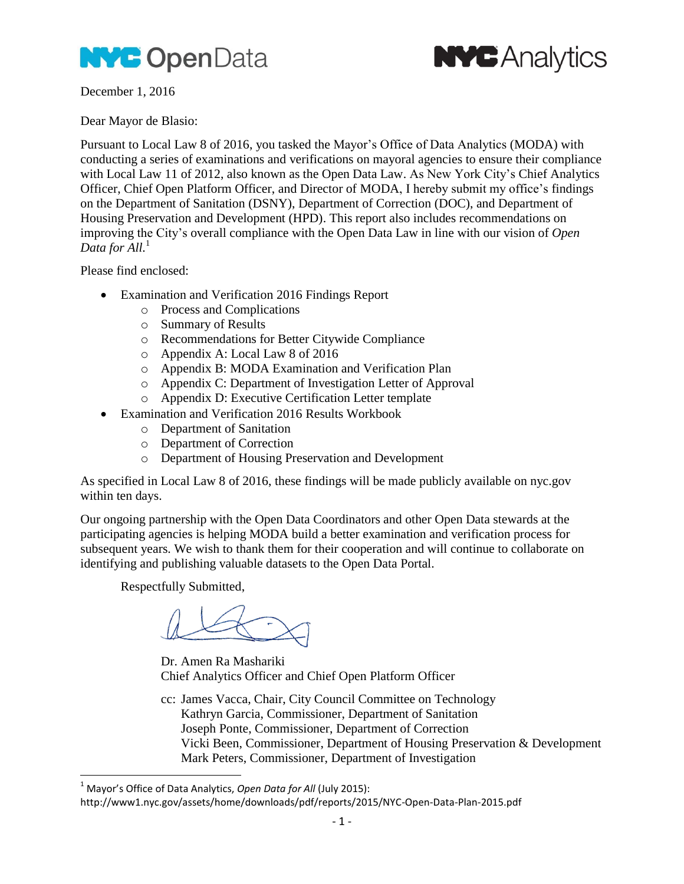



December 1, 2016

Dear Mayor de Blasio:

Pursuant to Local Law 8 of 2016, you tasked the Mayor's Office of Data Analytics (MODA) with conducting a series of examinations and verifications on mayoral agencies to ensure their compliance with Local Law 11 of 2012, also known as the Open Data Law. As New York City's Chief Analytics Officer, Chief Open Platform Officer, and Director of MODA, I hereby submit my office's findings on the Department of Sanitation (DSNY), Department of Correction (DOC), and Department of Housing Preservation and Development (HPD). This report also includes recommendations on improving the City's overall compliance with the Open Data Law in line with our vision of *Open Data for All.* 1

Please find enclosed:

- Examination and Verification 2016 Findings Report
	- o Process and Complications
	- o Summary of Results
	- o Recommendations for Better Citywide Compliance
	- o Appendix A: Local Law 8 of 2016
	- o Appendix B: MODA Examination and Verification Plan
	- o Appendix C: Department of Investigation Letter of Approval
	- o Appendix D: Executive Certification Letter template
- Examination and Verification 2016 Results Workbook
	- o Department of Sanitation
	- o Department of Correction
	- o Department of Housing Preservation and Development

As specified in Local Law 8 of 2016, these findings will be made publicly available on nyc.gov within ten days.

Our ongoing partnership with the Open Data Coordinators and other Open Data stewards at the participating agencies is helping MODA build a better examination and verification process for subsequent years. We wish to thank them for their cooperation and will continue to collaborate on identifying and publishing valuable datasets to the Open Data Portal.

Respectfully Submitted,

 $\overline{a}$ 

Dr. Amen Ra Mashariki Chief Analytics Officer and Chief Open Platform Officer

cc: James Vacca, Chair, City Council Committee on Technology Kathryn Garcia, Commissioner, Department of Sanitation Joseph Ponte, Commissioner, Department of Correction Vicki Been, Commissioner, Department of Housing Preservation & Development Mark Peters, Commissioner, Department of Investigation

<sup>&</sup>lt;sup>1</sup> Mayor's Office of Data Analytics, *Open Data for All* (July 2015):

http://www1.nyc.gov/assets/home/downloads/pdf/reports/2015/NYC-Open-Data-Plan-2015.pdf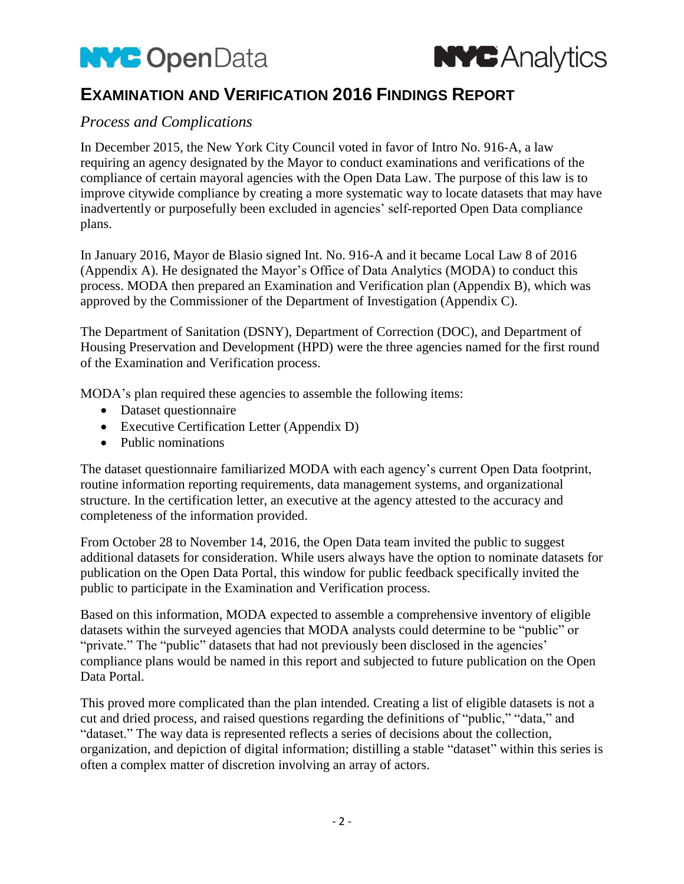



# **EXAMINATION AND VERIFICATION 2016 FINDINGS REPORT**

## *Process and Complications*

In December 2015, the New York City Council voted in favor of Intro No. 916-A, a law requiring an agency designated by the Mayor to conduct examinations and verifications of the compliance of certain mayoral agencies with the Open Data Law. The purpose of this law is to improve citywide compliance by creating a more systematic way to locate datasets that may have inadvertently or purposefully been excluded in agencies' self-reported Open Data compliance plans.

In January 2016, Mayor de Blasio signed Int. No. 916-A and it became Local Law 8 of 2016 (Appendix A). He designated the Mayor's Office of Data Analytics (MODA) to conduct this process. MODA then prepared an Examination and Verification plan (Appendix B), which was approved by the Commissioner of the Department of Investigation (Appendix C).

The Department of Sanitation (DSNY), Department of Correction (DOC), and Department of Housing Preservation and Development (HPD) were the three agencies named for the first round of the Examination and Verification process.

MODA's plan required these agencies to assemble the following items:

- Dataset questionnaire
- Executive Certification Letter (Appendix D)
- Public nominations

The dataset questionnaire familiarized MODA with each agency's current Open Data footprint, routine information reporting requirements, data management systems, and organizational structure. In the certification letter, an executive at the agency attested to the accuracy and completeness of the information provided.

From October 28 to November 14, 2016, the Open Data team invited the public to suggest additional datasets for consideration. While users always have the option to nominate datasets for publication on the Open Data Portal, this window for public feedback specifically invited the public to participate in the Examination and Verification process.

Based on this information, MODA expected to assemble a comprehensive inventory of eligible datasets within the surveyed agencies that MODA analysts could determine to be "public" or "private." The "public" datasets that had not previously been disclosed in the agencies' compliance plans would be named in this report and subjected to future publication on the Open Data Portal.

This proved more complicated than the plan intended. Creating a list of eligible datasets is not a cut and dried process, and raised questions regarding the definitions of "public," "data," and "dataset." The way data is represented reflects a series of decisions about the collection, organization, and depiction of digital information; distilling a stable "dataset" within this series is often a complex matter of discretion involving an array of actors.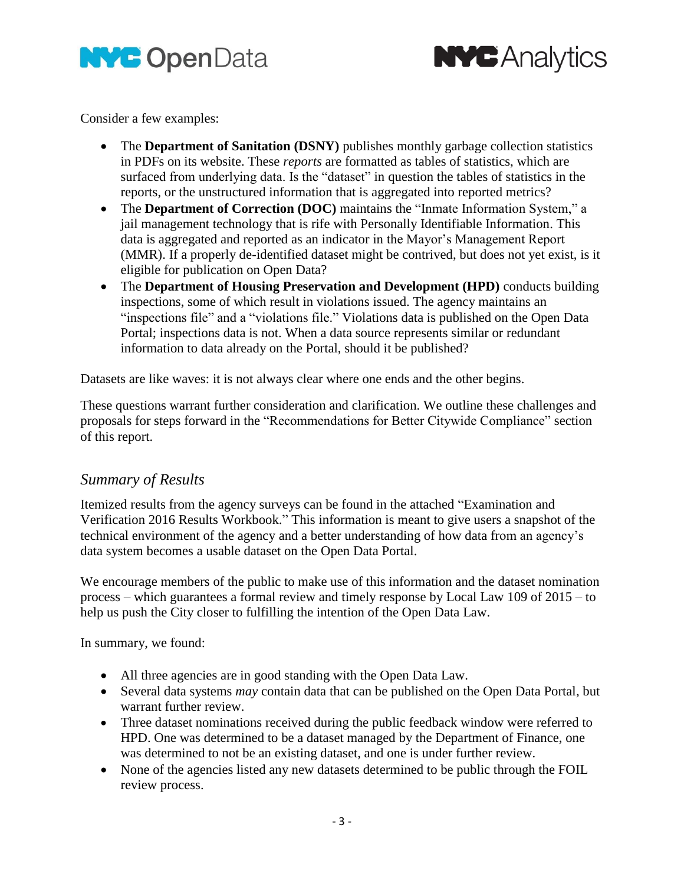



Consider a few examples:

- The **Department of Sanitation (DSNY)** publishes monthly garbage collection statistics in PDFs on its website. These *reports* are formatted as tables of statistics, which are surfaced from underlying data. Is the "dataset" in question the tables of statistics in the reports, or the unstructured information that is aggregated into reported metrics?
- The **Department of Correction (DOC)** maintains the "Inmate Information System," a jail management technology that is rife with Personally Identifiable Information. This data is aggregated and reported as an indicator in the Mayor's Management Report (MMR). If a properly de-identified dataset might be contrived, but does not yet exist, is it eligible for publication on Open Data?
- The **Department of Housing Preservation and Development (HPD)** conducts building inspections, some of which result in violations issued. The agency maintains an "inspections file" and a "violations file." Violations data is published on the Open Data Portal; inspections data is not. When a data source represents similar or redundant information to data already on the Portal, should it be published?

Datasets are like waves: it is not always clear where one ends and the other begins.

These questions warrant further consideration and clarification. We outline these challenges and proposals for steps forward in the "Recommendations for Better Citywide Compliance" section of this report.

## *Summary of Results*

Itemized results from the agency surveys can be found in the attached "Examination and Verification 2016 Results Workbook." This information is meant to give users a snapshot of the technical environment of the agency and a better understanding of how data from an agency's data system becomes a usable dataset on the Open Data Portal.

We encourage members of the public to make use of this information and the dataset nomination process – which guarantees a formal review and timely response by Local Law 109 of 2015 – to help us push the City closer to fulfilling the intention of the Open Data Law.

In summary, we found:

- All three agencies are in good standing with the Open Data Law.
- Several data systems *may* contain data that can be published on the Open Data Portal, but warrant further review.
- Three dataset nominations received during the public feedback window were referred to HPD. One was determined to be a dataset managed by the Department of Finance, one was determined to not be an existing dataset, and one is under further review.
- None of the agencies listed any new datasets determined to be public through the FOIL review process.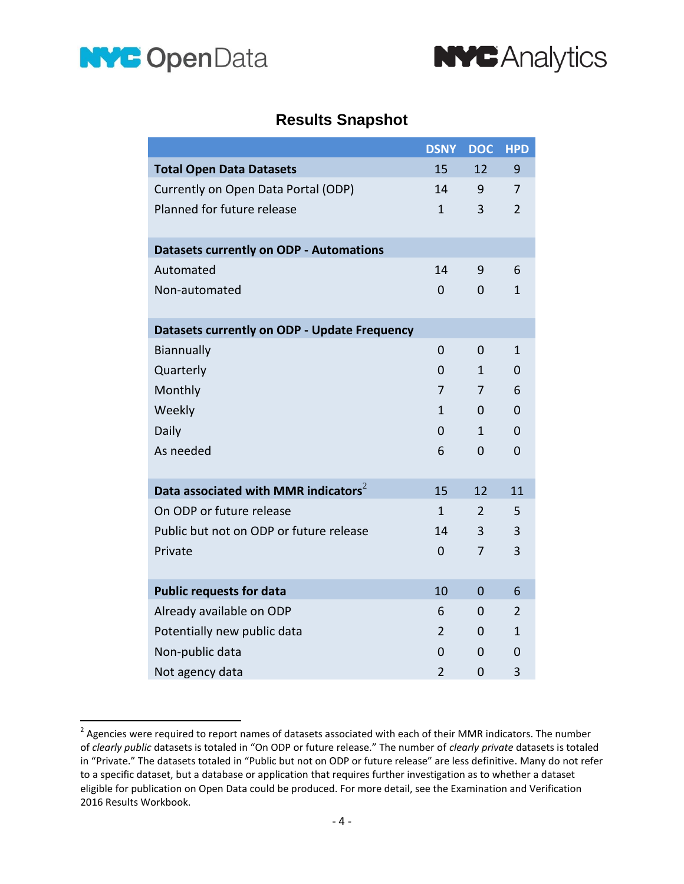



# **Results Snapshot**

|                                                  | <b>DSNY</b>    | <b>DOC</b>     | <b>HPD</b>     |
|--------------------------------------------------|----------------|----------------|----------------|
| <b>Total Open Data Datasets</b>                  | 15             | 12             | 9              |
| Currently on Open Data Portal (ODP)              | 14             | 9              | $\overline{7}$ |
| Planned for future release                       | $\mathbf{1}$   | 3              | $\overline{2}$ |
| <b>Datasets currently on ODP - Automations</b>   |                |                |                |
| Automated                                        | 14             | 9              | 6              |
| Non-automated                                    | $\Omega$       | 0              | $\mathbf{1}$   |
|                                                  |                |                |                |
| Datasets currently on ODP - Update Frequency     |                |                |                |
| Biannually                                       | $\Omega$       | $\mathbf 0$    | 1              |
| Quarterly                                        | 0              | $\mathbf{1}$   | 0              |
| Monthly                                          | $\overline{7}$ | 7              | 6              |
| Weekly                                           | $\mathbf{1}$   | 0              | $\Omega$       |
| Daily                                            | 0              | $\mathbf{1}$   | $\overline{0}$ |
| As needed                                        | 6              | $\Omega$       | $\overline{0}$ |
|                                                  |                |                |                |
| Data associated with MMR indicators <sup>2</sup> | 15             | 12             | 11             |
| On ODP or future release                         | $\mathbf{1}$   | $\overline{2}$ | 5              |
| Public but not on ODP or future release          | 14             | 3              | 3              |
| Private                                          | $\Omega$       | $\overline{7}$ | 3              |
|                                                  |                |                |                |
| <b>Public requests for data</b>                  | 10             | $\mathbf 0$    | 6              |
| Already available on ODP                         | 6              | 0              | $\overline{2}$ |
| Potentially new public data                      | $\overline{2}$ | 0              | $\mathbf{1}$   |
| Non-public data                                  | $\overline{0}$ | 0              | $\overline{0}$ |
| Not agency data                                  | $\overline{2}$ | $\mathbf 0$    | 3              |

<sup>&</sup>lt;u>2</u><br>Agencies were required to report names of datasets associated with each of their MMR indicators. The number of *clearly public* datasets is totaled in "On ODP or future release." The number of *clearly private* datasets is totaled in "Private." The datasets totaled in "Public but not on ODP or future release" are less definitive. Many do not refer to a specific dataset, but a database or application that requires further investigation as to whether a dataset eligible for publication on Open Data could be produced. For more detail, see the Examination and Verification 2016 Results Workbook.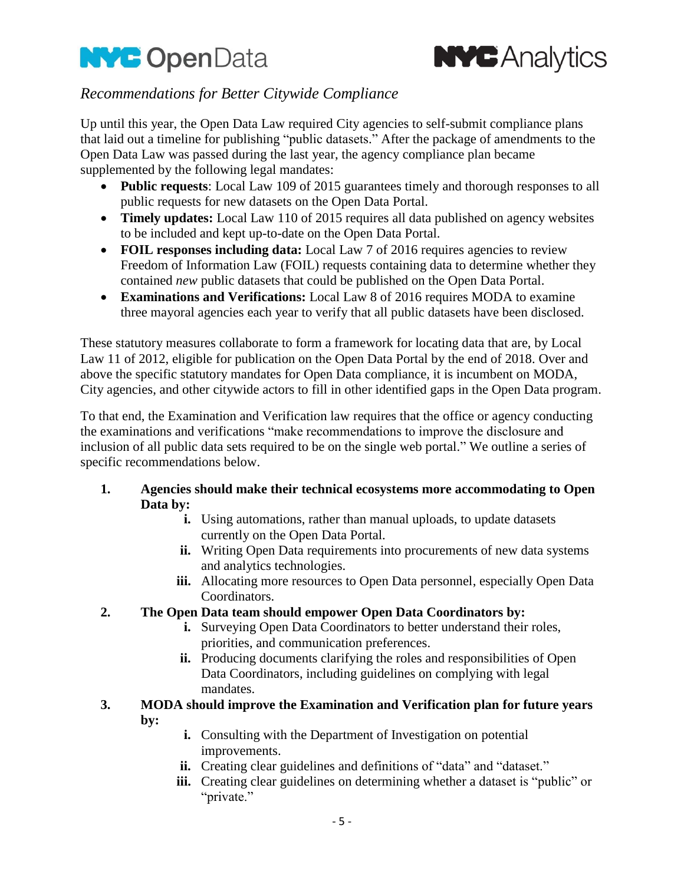



## *Recommendations for Better Citywide Compliance*

Up until this year, the Open Data Law required City agencies to self-submit compliance plans that laid out a timeline for publishing "public datasets." After the package of amendments to the Open Data Law was passed during the last year, the agency compliance plan became supplemented by the following legal mandates:

- **Public requests**: Local Law 109 of 2015 guarantees timely and thorough responses to all public requests for new datasets on the Open Data Portal.
- **Timely updates:** Local Law 110 of 2015 requires all data published on agency websites to be included and kept up-to-date on the Open Data Portal.
- **FOIL responses including data:** Local Law 7 of 2016 requires agencies to review Freedom of Information Law (FOIL) requests containing data to determine whether they contained *new* public datasets that could be published on the Open Data Portal.
- **Examinations and Verifications:** Local Law 8 of 2016 requires MODA to examine three mayoral agencies each year to verify that all public datasets have been disclosed.

These statutory measures collaborate to form a framework for locating data that are, by Local Law 11 of 2012, eligible for publication on the Open Data Portal by the end of 2018. Over and above the specific statutory mandates for Open Data compliance, it is incumbent on MODA, City agencies, and other citywide actors to fill in other identified gaps in the Open Data program.

To that end, the Examination and Verification law requires that the office or agency conducting the examinations and verifications "make recommendations to improve the disclosure and inclusion of all public data sets required to be on the single web portal." We outline a series of specific recommendations below.

- **1. Agencies should make their technical ecosystems more accommodating to Open Data by:**
	- **i.** Using automations, rather than manual uploads, to update datasets currently on the Open Data Portal.
	- **ii.** Writing Open Data requirements into procurements of new data systems and analytics technologies.
	- **iii.** Allocating more resources to Open Data personnel, especially Open Data Coordinators.

## **2. The Open Data team should empower Open Data Coordinators by:**

- **i.** Surveying Open Data Coordinators to better understand their roles, priorities, and communication preferences.
- **ii.** Producing documents clarifying the roles and responsibilities of Open Data Coordinators, including guidelines on complying with legal mandates.
- **3. MODA should improve the Examination and Verification plan for future years by:**
	- **i.** Consulting with the Department of Investigation on potential improvements.
	- **ii.** Creating clear guidelines and definitions of "data" and "dataset."
	- **iii.** Creating clear guidelines on determining whether a dataset is "public" or "private."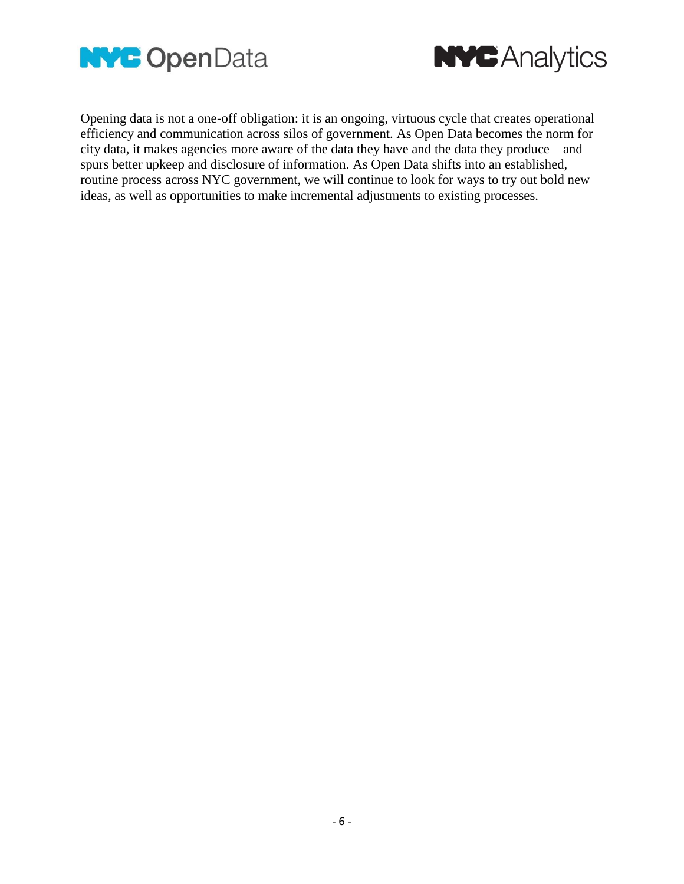



Opening data is not a one-off obligation: it is an ongoing, virtuous cycle that creates operational efficiency and communication across silos of government. As Open Data becomes the norm for city data, it makes agencies more aware of the data they have and the data they produce – and spurs better upkeep and disclosure of information. As Open Data shifts into an established, routine process across NYC government, we will continue to look for ways to try out bold new ideas, as well as opportunities to make incremental adjustments to existing processes.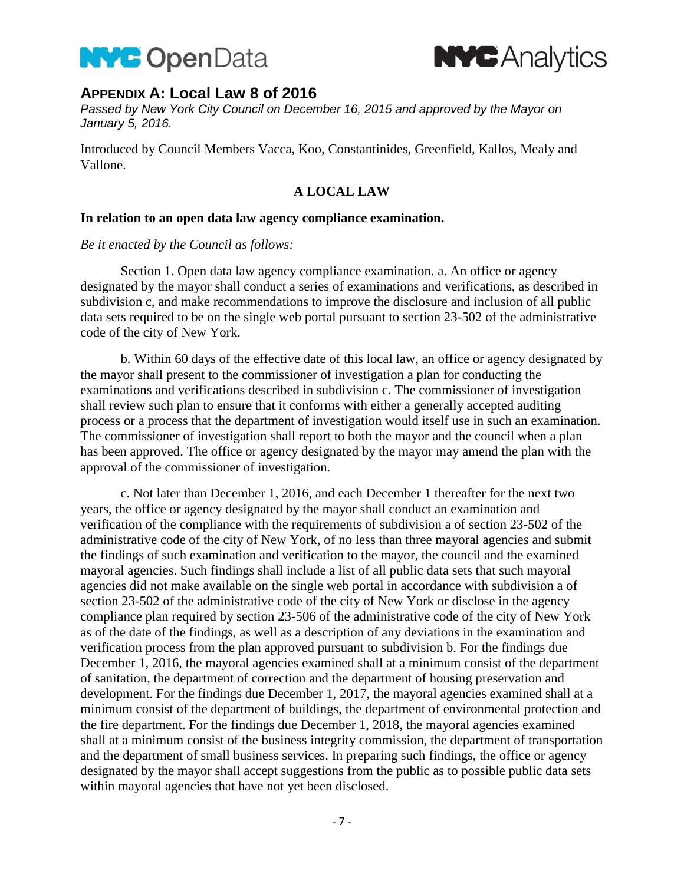



## **APPENDIX A: Local Law 8 of 2016**

*Passed by New York City Council on December 16, 2015 and approved by the Mayor on January 5, 2016.* 

Introduced by Council Members Vacca, Koo, Constantinides, Greenfield, Kallos, Mealy and Vallone.

### **A LOCAL LAW**

#### **In relation to an open data law agency compliance examination.**

#### *Be it enacted by the Council as follows:*

Section 1. Open data law agency compliance examination. a. An office or agency designated by the mayor shall conduct a series of examinations and verifications, as described in subdivision c, and make recommendations to improve the disclosure and inclusion of all public data sets required to be on the single web portal pursuant to section 23-502 of the administrative code of the city of New York.

b. Within 60 days of the effective date of this local law, an office or agency designated by the mayor shall present to the commissioner of investigation a plan for conducting the examinations and verifications described in subdivision c. The commissioner of investigation shall review such plan to ensure that it conforms with either a generally accepted auditing process or a process that the department of investigation would itself use in such an examination. The commissioner of investigation shall report to both the mayor and the council when a plan has been approved. The office or agency designated by the mayor may amend the plan with the approval of the commissioner of investigation.

c. Not later than December 1, 2016, and each December 1 thereafter for the next two years, the office or agency designated by the mayor shall conduct an examination and verification of the compliance with the requirements of subdivision a of section 23-502 of the administrative code of the city of New York, of no less than three mayoral agencies and submit the findings of such examination and verification to the mayor, the council and the examined mayoral agencies. Such findings shall include a list of all public data sets that such mayoral agencies did not make available on the single web portal in accordance with subdivision a of section 23-502 of the administrative code of the city of New York or disclose in the agency compliance plan required by section 23-506 of the administrative code of the city of New York as of the date of the findings, as well as a description of any deviations in the examination and verification process from the plan approved pursuant to subdivision b. For the findings due December 1, 2016, the mayoral agencies examined shall at a minimum consist of the department of sanitation, the department of correction and the department of housing preservation and development. For the findings due December 1, 2017, the mayoral agencies examined shall at a minimum consist of the department of buildings, the department of environmental protection and the fire department. For the findings due December 1, 2018, the mayoral agencies examined shall at a minimum consist of the business integrity commission, the department of transportation and the department of small business services. In preparing such findings, the office or agency designated by the mayor shall accept suggestions from the public as to possible public data sets within mayoral agencies that have not yet been disclosed.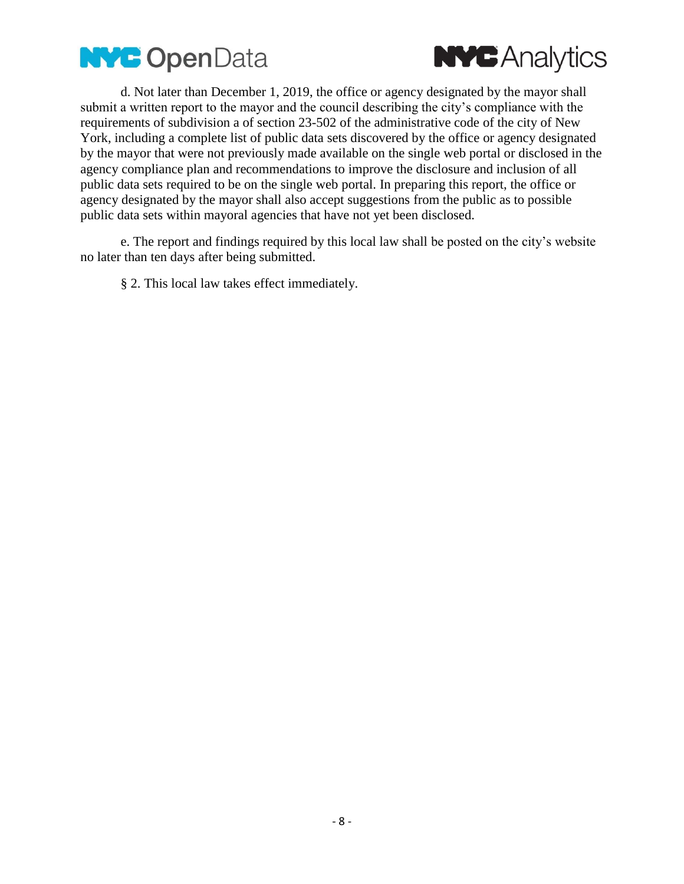



d. Not later than December 1, 2019, the office or agency designated by the mayor shall submit a written report to the mayor and the council describing the city's compliance with the requirements of subdivision a of section 23-502 of the administrative code of the city of New York, including a complete list of public data sets discovered by the office or agency designated by the mayor that were not previously made available on the single web portal or disclosed in the agency compliance plan and recommendations to improve the disclosure and inclusion of all public data sets required to be on the single web portal. In preparing this report, the office or agency designated by the mayor shall also accept suggestions from the public as to possible public data sets within mayoral agencies that have not yet been disclosed.

e. The report and findings required by this local law shall be posted on the city's website no later than ten days after being submitted.

§ 2. This local law takes effect immediately.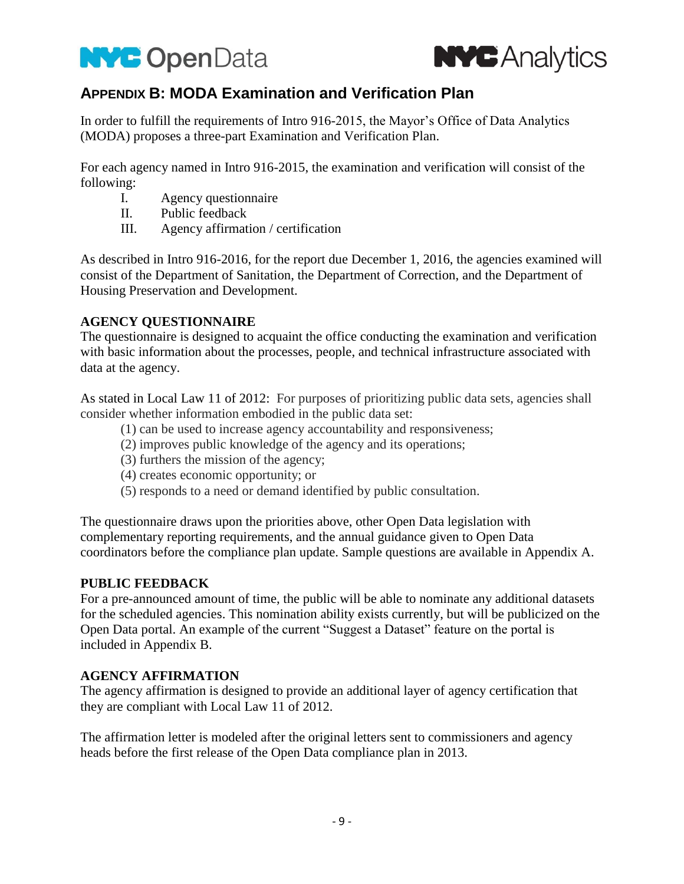



## **APPENDIX B: MODA Examination and Verification Plan**

In order to fulfill the requirements of Intro 916-2015, the Mayor's Office of Data Analytics (MODA) proposes a three-part Examination and Verification Plan.

For each agency named in Intro 916-2015, the examination and verification will consist of the following:

- I. Agency questionnaire
- II. Public feedback
- III. Agency affirmation / certification

As described in Intro 916-2016, for the report due December 1, 2016, the agencies examined will consist of the Department of Sanitation, the Department of Correction, and the Department of Housing Preservation and Development.

### **AGENCY QUESTIONNAIRE**

The questionnaire is designed to acquaint the office conducting the examination and verification with basic information about the processes, people, and technical infrastructure associated with data at the agency.

As stated in Local Law 11 of 2012: For purposes of prioritizing public data sets, agencies shall consider whether information embodied in the public data set:

- (1) can be used to increase agency accountability and responsiveness;
- (2) improves public knowledge of the agency and its operations;
- (3) furthers the mission of the agency;
- (4) creates economic opportunity; or
- (5) responds to a need or demand identified by public consultation.

The questionnaire draws upon the priorities above, other Open Data legislation with complementary reporting requirements, and the annual guidance given to Open Data coordinators before the compliance plan update. Sample questions are available in Appendix A.

## **PUBLIC FEEDBACK**

For a pre-announced amount of time, the public will be able to nominate any additional datasets for the scheduled agencies. This nomination ability exists currently, but will be publicized on the Open Data portal. An example of the current "Suggest a Dataset" feature on the portal is included in Appendix B.

### **AGENCY AFFIRMATION**

The agency affirmation is designed to provide an additional layer of agency certification that they are compliant with Local Law 11 of 2012.

The affirmation letter is modeled after the original letters sent to commissioners and agency heads before the first release of the Open Data compliance plan in 2013.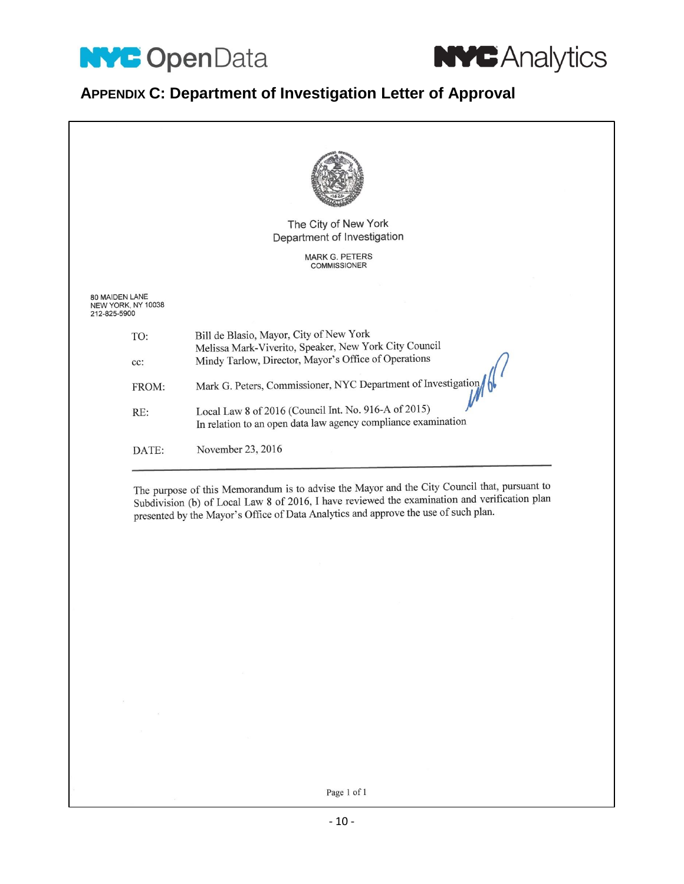



# **APPENDIX C: Department of Investigation Letter of Approval**